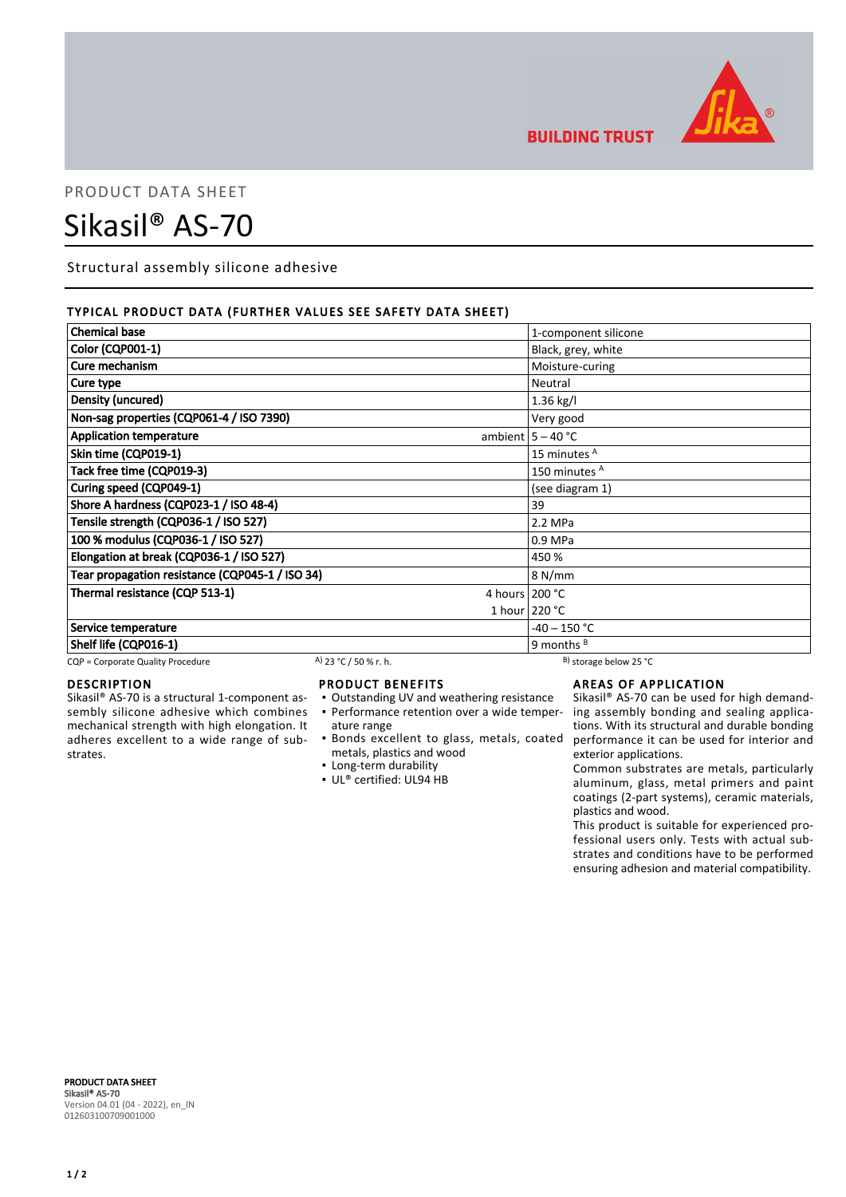

**BUILDING TRUST** 

## PRODUCT DATA SHEET

# Sikasil® AS-70

Structural assembly silicone adhesive

### TYPICAL PRODUCT DATA (FURTHER VALUES SEE SAFETY DATA SHEET)

| <b>Chemical base</b>                            |                       | 1-component silicone         |
|-------------------------------------------------|-----------------------|------------------------------|
| Color (CQP001-1)                                |                       | Black, grey, white           |
| Cure mechanism                                  |                       | Moisture-curing              |
| Cure type                                       |                       | Neutral                      |
| Density (uncured)                               |                       | 1.36 kg/l                    |
| Non-sag properties (CQP061-4 / ISO 7390)        |                       | Very good                    |
| <b>Application temperature</b>                  |                       | ambient $5 - 40$ °C          |
| Skin time (CQP019-1)                            |                       | 15 minutes <sup>A</sup>      |
| Tack free time (CQP019-3)                       |                       | 150 minutes <sup>A</sup>     |
| Curing speed (CQP049-1)                         |                       | (see diagram 1)              |
| Shore A hardness (CQP023-1 / ISO 48-4)          |                       | 39                           |
| Tensile strength (CQP036-1 / ISO 527)           |                       | 2.2 MPa                      |
| 100 % modulus (CQP036-1 / ISO 527)              |                       | 0.9 MPa                      |
| Elongation at break (CQP036-1 / ISO 527)        |                       | 450 %                        |
| Tear propagation resistance (CQP045-1 / ISO 34) |                       | 8 N/mm                       |
| Thermal resistance (CQP 513-1)                  |                       | 4 hours $200 °C$             |
|                                                 |                       | 1 hour $220 °C$              |
| Service temperature                             |                       | $-40 - 150 °C$               |
| Shelf life (CQP016-1)                           |                       | 9 months $B$                 |
| CQP = Corporate Quality Procedure               | A) 23 °C / 50 % r. h. | $^{B}$ ) storage below 25 °C |

### DESCRIPTION

Sikasil® AS-70 is a structural 1-component assembly silicone adhesive which combines mechanical strength with high elongation. It adheres excellent to a wide range of substrates.

#### PRODUCT BENEFITS

- Outstanding UV and weathering resistance
- ature range
- metals, plastics and wood
- **Example 1** Long-term durability
- UL® certified: UL94 HB

### AREAS OF APPLICATION

• Performance retention over a wide temper- ing assembly bonding and sealing applica-Bonds excellent to glass, metals, coated ▪ performance it can be used for interior and Sikasil® AS-70 can be used for high demandtions. With its structural and durable bonding exterior applications.

Common substrates are metals, particularly aluminum, glass, metal primers and paint coatings (2-part systems), ceramic materials, plastics and wood.

This product is suitable for experienced professional users only. Tests with actual substrates and conditions have to be performed ensuring adhesion and material compatibility.

PRODUCT DATA SHEET Sikasil® AS-70 Version 04.01 (04 - 2022), en\_IN 012603100709001000